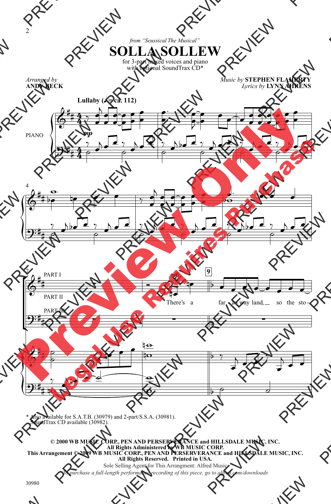*from "Seussical The Musical"* for 3-part mixed voices and piano **SOLLA SOLLEW**

with optional SoundTrax CD\*

*Arranged by* **ANDY BECK** *Music by* **STEPHEN FLAHERTY**  *Lyrics by* **LYNN AHRENS**



\* Also available for S.A.T.B. (30979) and 2-part/S.S.A. (30981). SoundTrax CD available (30982).

**© 2000 WB MUSIC CORP., PEN AND PERSERVERANCE and HILLSDALE MUSIC, INC. All Rights Administered by WB MUSIC CORP. This Arrangement © 2009 WB MUSIC CORP., PEN AND PERSERVERANCE and HILLSDALE MUSIC, INC. All Rights Reserved. Printed in USA.**

Sole Selling Agent for This Arrangment: Alfred Music

*To purchase a full-length performance recording of this piece, go to alfred.com/downloads To purchase a full-length performance recording of this piece, go to alfred.com/downloads*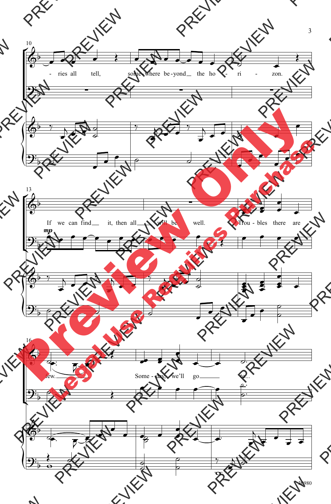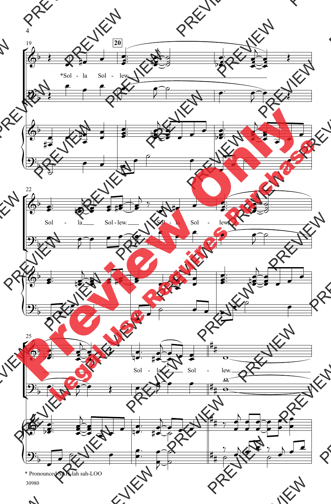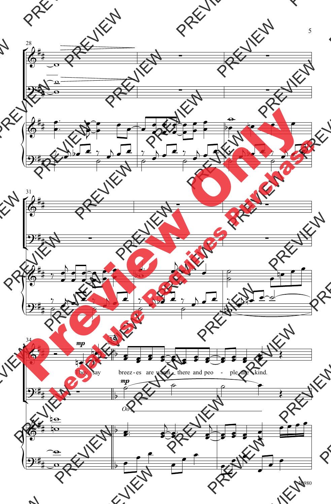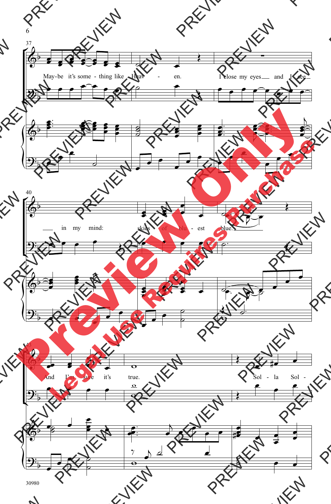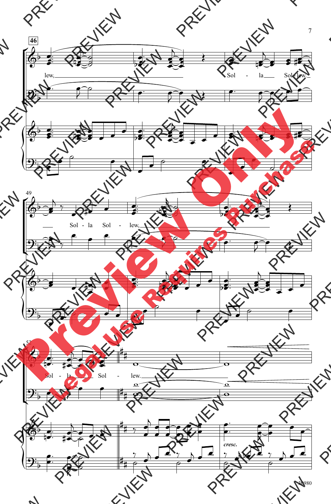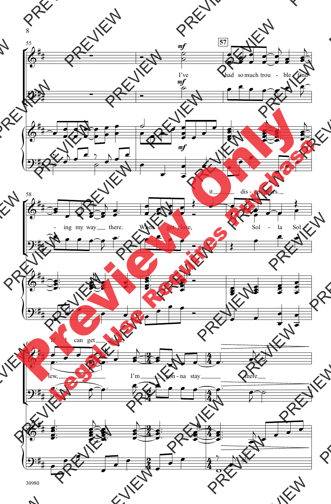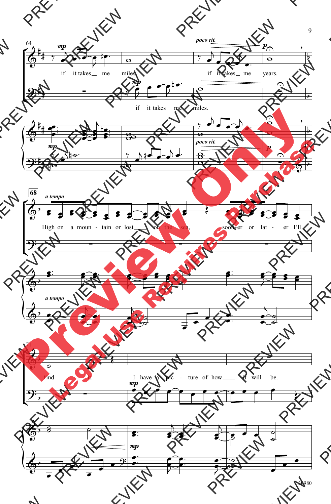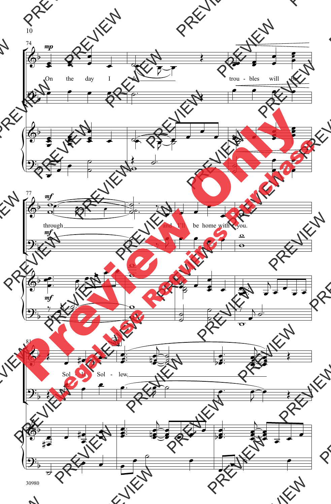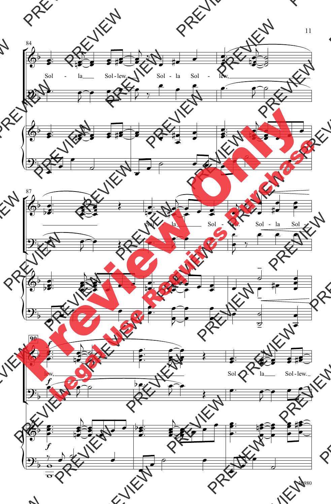